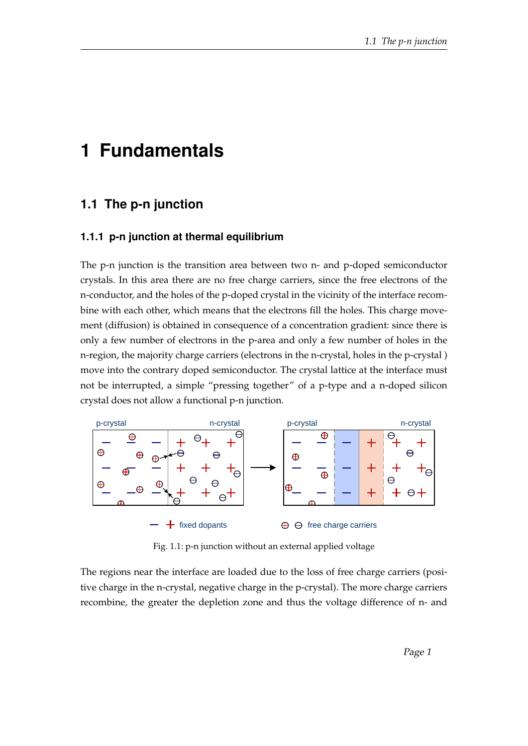## **1 Fundamentals**

## **1.1 The p-n junction**

## **1.1.1 p-n junction at thermal equilibrium**

The p-n junction is the transition area between two n- and p-doped semiconductor crystals. In this area there are no free charge carriers, since the free electrons of the n-conductor, and the holes of the p-doped crystal in the vicinity of the interface recombine with each other, which means that the electrons fill the holes. This charge movement (diffusion) is obtained in consequence of a concentration gradient: since there is only a few number of electrons in the p-area and only a few number of holes in the n-region, the majority charge carriers (electrons in the n-crystal, holes in the p-crystal ) move into the contrary doped semiconductor. The crystal lattice at the interface must not be interrupted, a simple "pressing together" of a p-type and a n-doped silicon crystal does not allow a functional p-n junction.



Fig. 1.1: p-n junction without an external applied voltage

The regions near the interface are loaded due to the loss of free charge carriers (positive charge in the n-crystal, negative charge in the p-crystal). The more charge carriers recombine, the greater the depletion zone and thus the voltage difference of n- and